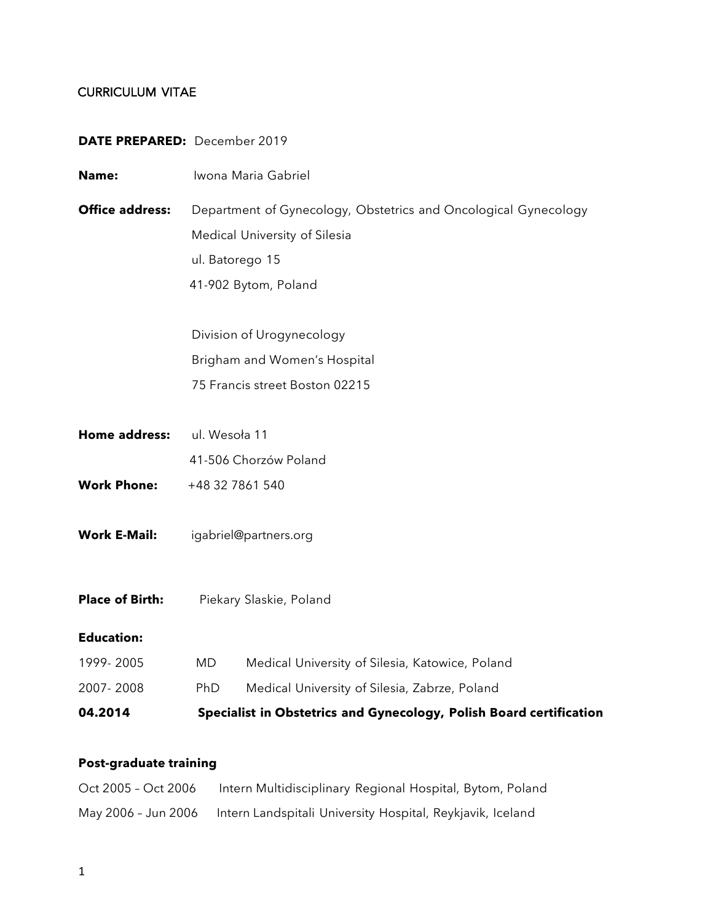### CURRICULUM VITAE

#### **DATE PREPARED:** December 2019

| Name:                  | Iwona Maria Gabriel                                                                                                                         |                                                 |
|------------------------|---------------------------------------------------------------------------------------------------------------------------------------------|-------------------------------------------------|
| <b>Office address:</b> | Department of Gynecology, Obstetrics and Oncological Gynecology<br>Medical University of Silesia<br>ul. Batorego 15<br>41-902 Bytom, Poland |                                                 |
|                        |                                                                                                                                             | Division of Urogynecology                       |
|                        | Brigham and Women's Hospital                                                                                                                |                                                 |
|                        |                                                                                                                                             | 75 Francis street Boston 02215                  |
|                        |                                                                                                                                             |                                                 |
| Home address:          | ul. Wesoła 11                                                                                                                               |                                                 |
|                        |                                                                                                                                             | 41-506 Chorzów Poland                           |
| <b>Work Phone:</b>     | +48 32 7861 540                                                                                                                             |                                                 |
| <b>Work E-Mail:</b>    | igabriel@partners.org                                                                                                                       |                                                 |
| <b>Place of Birth:</b> | Piekary Slaskie, Poland                                                                                                                     |                                                 |
| <b>Education:</b>      |                                                                                                                                             |                                                 |
| 1999-2005              | <b>MD</b>                                                                                                                                   | Medical University of Silesia, Katowice, Poland |
| 2007-2008              | PhD                                                                                                                                         | Medical University of Silesia, Zabrze, Poland   |
| 04.2014                | Specialist in Obstetrics and Gynecology, Polish Board certification                                                                         |                                                 |

### **Post-graduate training**

| Oct 2005 - Oct 2006 | Intern Multidisciplinary Regional Hospital, Bytom, Poland  |
|---------------------|------------------------------------------------------------|
| May 2006 - Jun 2006 | Intern Landspitali University Hospital, Reykjavik, Iceland |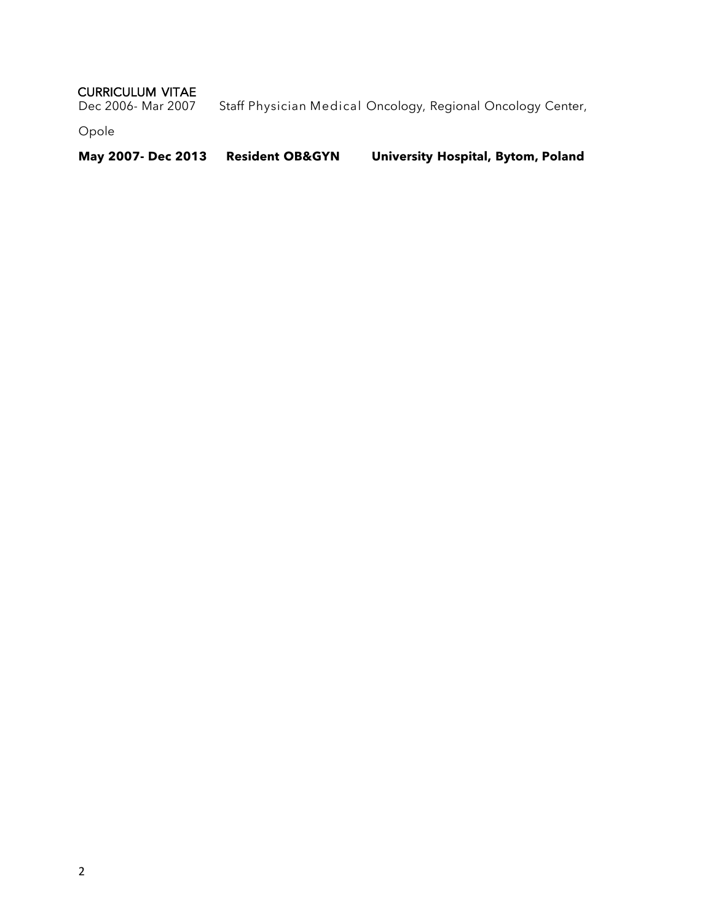# CURRICULUM VITAE<br>Dec 2006- Mar 2007

Staff Physician Medical Oncology, Regional Oncology Center,

Opole

**May 2007- Dec 2013 Resident OB&GYN University Hospital, Bytom, Poland**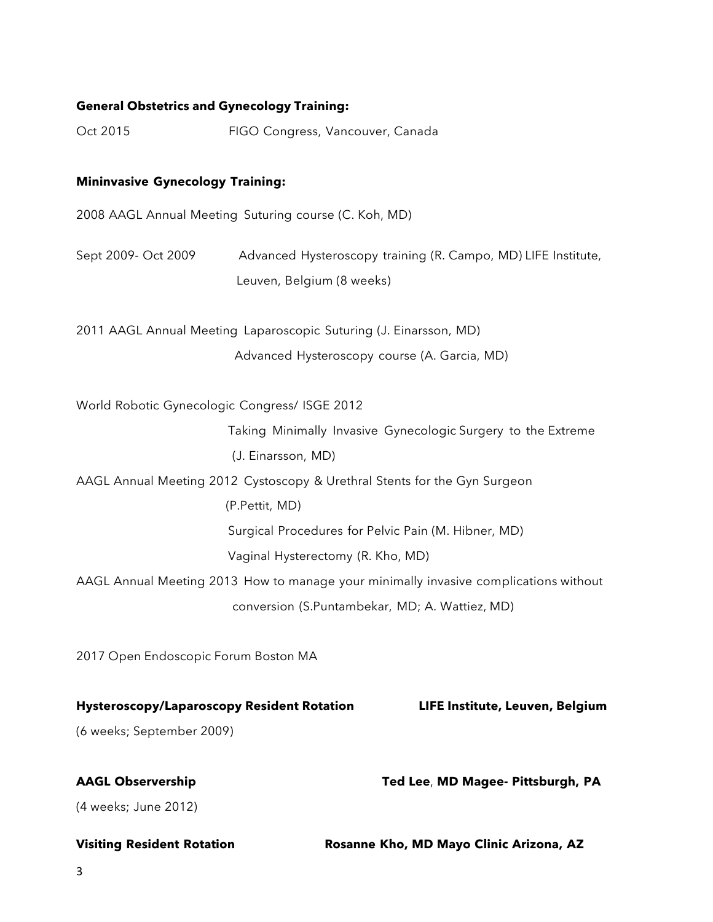#### **General Obstetrics and Gynecology Training:**

Oct 2015 FIGO Congress, Vancouver, Canada

#### **Mininvasive Gynecology Training:**

2008 AAGL Annual Meeting Suturing course (C. Koh, MD)

Sept 2009- Oct 2009 Advanced Hysteroscopy training (R. Campo, MD) LIFE Institute, Leuven, Belgium (8 weeks)

2011 AAGL Annual Meeting Laparoscopic Suturing (J. Einarsson, MD) Advanced Hysteroscopy course (A. Garcia, MD)

World Robotic Gynecologic Congress/ ISGE 2012

 Taking Minimally Invasive Gynecologic Surgery to the Extreme (J. Einarsson, MD)

AAGL Annual Meeting 2012 Cystoscopy & Urethral Stents for the Gyn Surgeon

(P.Pettit, MD)

Surgical Procedures for Pelvic Pain (M. Hibner, MD)

Vaginal Hysterectomy (R. Kho, MD)

AAGL Annual Meeting 2013 How to manage your minimally invasive complications without conversion (S.Puntambekar, MD; A. Wattiez, MD)

2017 Open Endoscopic Forum Boston MA

#### **Hysteroscopy/Laparoscopy Resident Rotation LIFE Institute, Leuven, Belgium**

(6 weeks; September 2009)

**AAGL Observership Ted Lee**, **MD Magee- Pittsburgh, PA**

(4 weeks; June 2012)

**Visiting Resident Rotation Rosanne Kho, MD Mayo Clinic Arizona, AZ**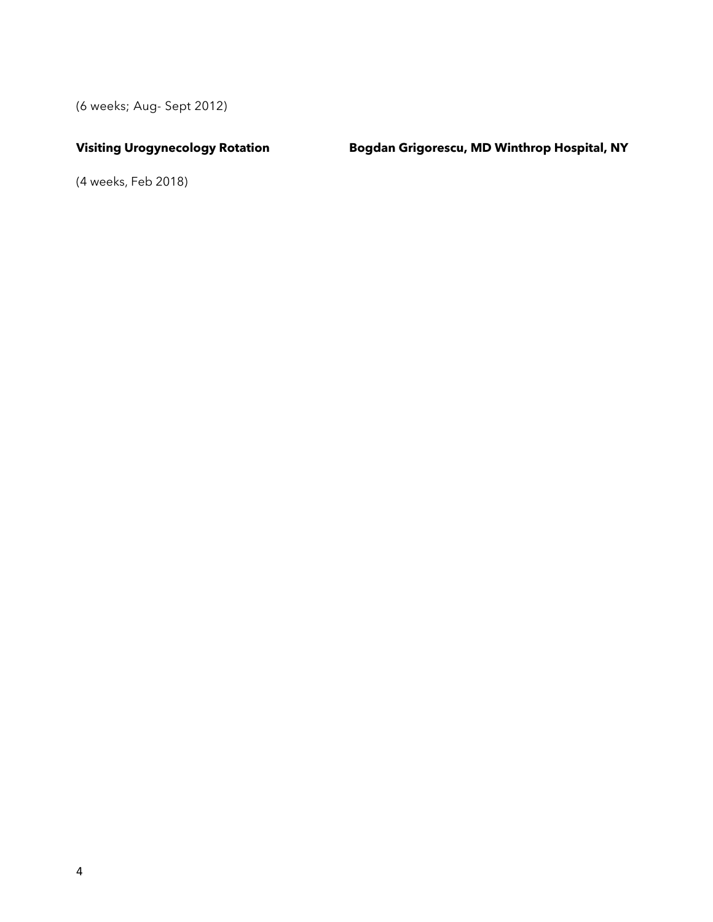(6 weeks; Aug- Sept 2012)

**Visiting Urogynecology Rotation Bogdan Grigorescu, MD Winthrop Hospital, NY**

(4 weeks, Feb 2018)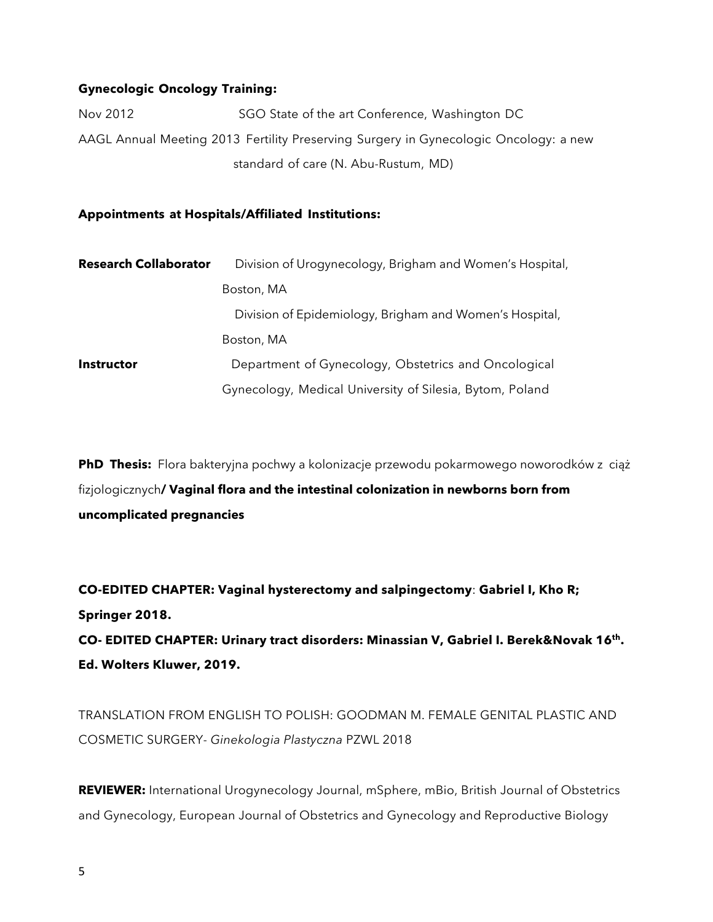#### **Gynecologic Oncology Training:**

Nov 2012 SGO State of the art Conference, Washington DC AAGL Annual Meeting 2013 Fertility Preserving Surgery in Gynecologic Oncology: a new standard of care (N. Abu-Rustum, MD)

**Appointments at Hospitals/Affiliated Institutions:**

| <b>Research Collaborator</b> | Division of Urogynecology, Brigham and Women's Hospital, |  |
|------------------------------|----------------------------------------------------------|--|
|                              | Boston, MA                                               |  |
|                              | Division of Epidemiology, Brigham and Women's Hospital,  |  |
|                              | Boston, MA                                               |  |
| <b>Instructor</b>            | Department of Gynecology, Obstetrics and Oncological     |  |
|                              | Gynecology, Medical University of Silesia, Bytom, Poland |  |

**PhD Thesis:** Flora bakteryjna pochwy a kolonizacje przewodu pokarmowego noworodków z ciąż fizjologicznych**/ Vaginal flora and the intestinal colonization in newborns born from uncomplicated pregnancies**

**CO-EDITED CHAPTER: Vaginal hysterectomy and salpingectomy**: **Gabriel I, Kho R; Springer 2018.** 

**CO- EDITED CHAPTER: Urinary tract disorders: Minassian V, Gabriel I. Berek&Novak 16th. Ed. Wolters Kluwer, 2019.** 

TRANSLATION FROM ENGLISH TO POLISH: GOODMAN M. FEMALE GENITAL PLASTIC AND COSMETIC SURGERY- *Ginekologia Plastyczna* PZWL 2018

**REVIEWER:** International Urogynecology Journal, mSphere, mBio, British Journal of Obstetrics and Gynecology, European Journal of Obstetrics and Gynecology and Reproductive Biology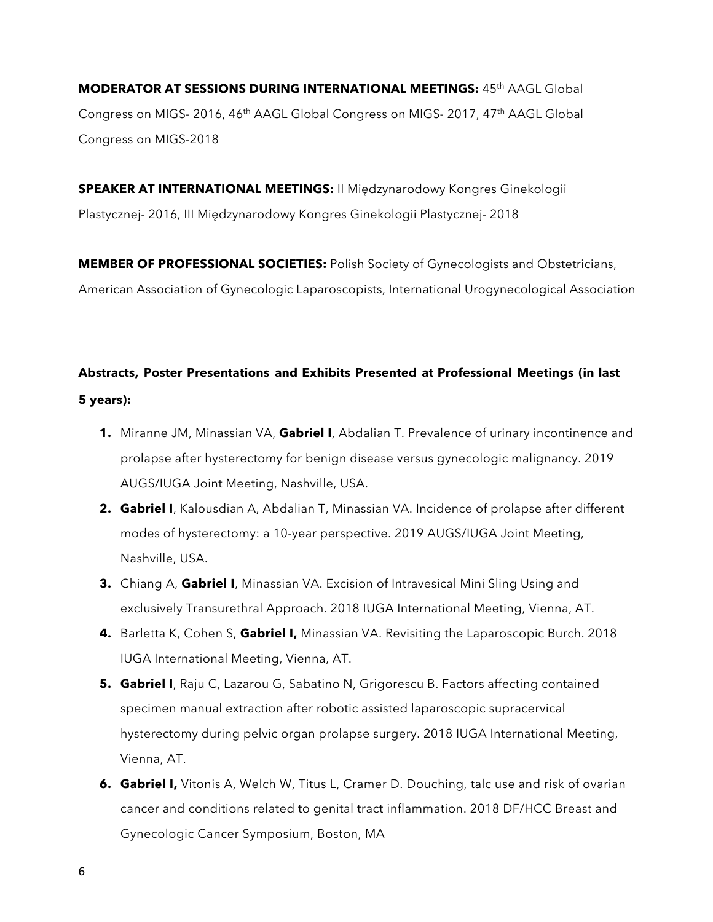**MODERATOR AT SESSIONS DURING INTERNATIONAL MEETINGS:** 45th AAGL Global Congress on MIGS- 2016, 46<sup>th</sup> AAGL Global Congress on MIGS- 2017, 47<sup>th</sup> AAGL Global Congress on MIGS-2018

**SPEAKER AT INTERNATIONAL MEETINGS:** II Międzynarodowy Kongres Ginekologii Plastycznej- 2016, III Międzynarodowy Kongres Ginekologii Plastycznej- 2018

**MEMBER OF PROFESSIONAL SOCIETIES:** Polish Society of Gynecologists and Obstetricians, American Association of Gynecologic Laparoscopists, International Urogynecological Association

# **Abstracts, Poster Presentations and Exhibits Presented at Professional Meetings (in last 5 years):**

- **1.** Miranne JM, Minassian VA, **Gabriel I**, Abdalian T. Prevalence of urinary incontinence and prolapse after hysterectomy for benign disease versus gynecologic malignancy. 2019 AUGS/IUGA Joint Meeting, Nashville, USA.
- **2. Gabriel I**, Kalousdian A, Abdalian T, Minassian VA. Incidence of prolapse after different modes of hysterectomy: a 10-year perspective. 2019 AUGS/IUGA Joint Meeting, Nashville, USA.
- **3.** Chiang A, Gabriel I, Minassian VA. Excision of Intravesical Mini Sling Using and exclusively Transurethral Approach. 2018 IUGA International Meeting, Vienna, AT.
- **4.** Barletta K, Cohen S, **Gabriel I,** Minassian VA. Revisiting the Laparoscopic Burch. 2018 IUGA International Meeting, Vienna, AT.
- **5. Gabriel I**, Raju C, Lazarou G, Sabatino N, Grigorescu B. Factors affecting contained specimen manual extraction after robotic assisted laparoscopic supracervical hysterectomy during pelvic organ prolapse surgery. 2018 IUGA International Meeting, Vienna, AT.
- **6. Gabriel I,** Vitonis A, Welch W, Titus L, Cramer D. Douching, talc use and risk of ovarian cancer and conditions related to genital tract inflammation. 2018 DF/HCC Breast and Gynecologic Cancer Symposium, Boston, MA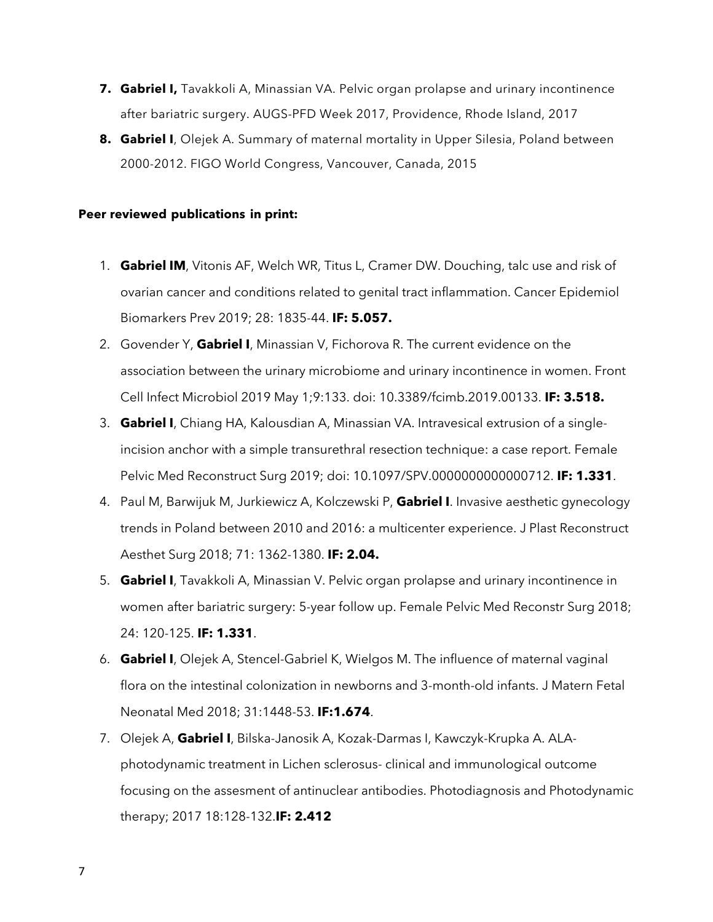- **7. Gabriel I,** Tavakkoli A, Minassian VA. Pelvic organ prolapse and urinary incontinence after bariatric surgery. AUGS-PFD Week 2017, Providence, Rhode Island, 2017
- **8. Gabriel I**, Olejek A. Summary of maternal mortality in Upper Silesia, Poland between 2000-2012. FIGO World Congress, Vancouver, Canada, 2015

#### **Peer reviewed publications in print:**

- 1. **Gabriel IM**, Vitonis AF, Welch WR, Titus L, Cramer DW. Douching, talc use and risk of ovarian cancer and conditions related to genital tract inflammation. Cancer Epidemiol Biomarkers Prev 2019; 28: 1835-44. **IF: 5.057.**
- 2. Govender Y, **Gabriel I**, Minassian V, Fichorova R. The current evidence on the association between the urinary microbiome and urinary incontinence in women. Front Cell Infect Microbiol 2019 May 1;9:133. doi: 10.3389/fcimb.2019.00133. **IF: 3.518.**
- 3. **Gabriel I**, Chiang HA, Kalousdian A, Minassian VA. Intravesical extrusion of a singleincision anchor with a simple transurethral resection technique: a case report. Female Pelvic Med Reconstruct Surg 2019; doi: 10.1097/SPV.0000000000000712. **IF: 1.331**.
- 4. Paul M, Barwijuk M, Jurkiewicz A, Kolczewski P, **Gabriel I**. Invasive aesthetic gynecology trends in Poland between 2010 and 2016: a multicenter experience. J Plast Reconstruct Aesthet Surg 2018; 71: 1362-1380. **IF: 2.04.**
- 5. **Gabriel I**, Tavakkoli A, Minassian V. Pelvic organ prolapse and urinary incontinence in women after bariatric surgery: 5-year follow up. Female Pelvic Med Reconstr Surg 2018; 24: 120-125. **IF: 1.331**.
- 6. **Gabriel I**, Olejek A, Stencel-Gabriel K, Wielgos M. The influence of maternal vaginal flora on the intestinal colonization in newborns and 3-month-old infants. J Matern Fetal Neonatal Med 2018; 31:1448-53. **IF:1.674**.
- 7. Olejek A, **Gabriel I**, Bilska-Janosik A, Kozak-Darmas I, Kawczyk-Krupka A. ALAphotodynamic treatment in Lichen sclerosus- clinical and immunological outcome focusing on the assesment of antinuclear antibodies. Photodiagnosis and Photodynamic therapy; 2017 18:128-132.**IF: 2.412**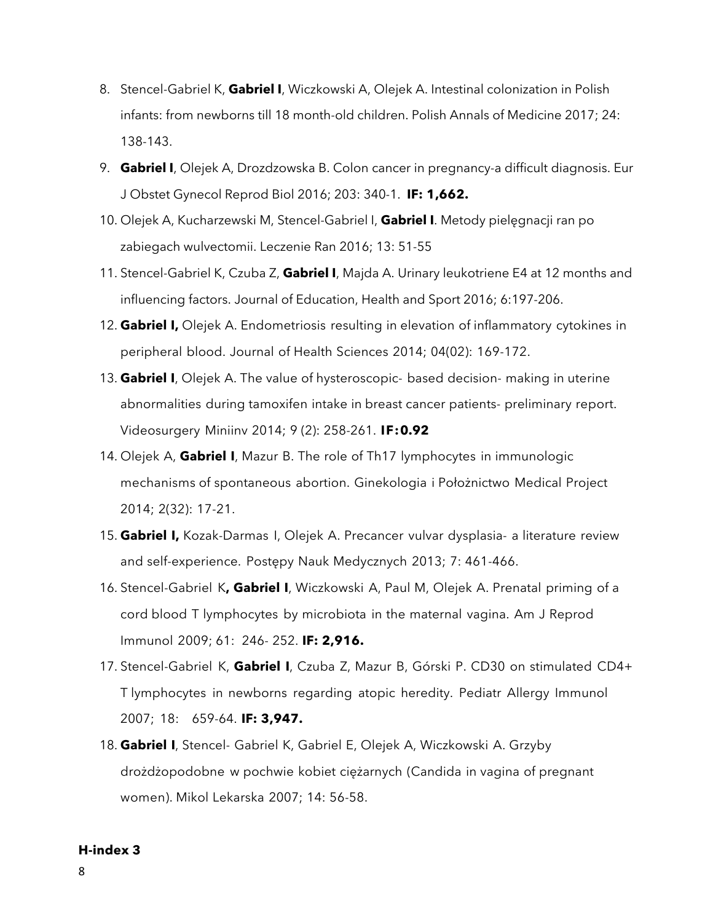- 8. Stencel-Gabriel K, **Gabriel I**, Wiczkowski A, Olejek A. Intestinal colonization in Polish infants: from newborns till 18 month-old children. Polish Annals of Medicine 2017; 24: 138-143.
- 9. **Gabriel I**, Olejek A, Drozdzowska B. Colon cancer in pregnancy-a difficult diagnosis. Eur J Obstet Gynecol Reprod Biol 2016; 203: 340-1. **IF: 1,662.**
- 10. Olejek A, Kucharzewski M, Stencel-Gabriel I, **Gabriel I**. Metody pielęgnacji ran po zabiegach wulvectomii. Leczenie Ran 2016; 13: 51-55
- 11. Stencel-Gabriel K, Czuba Z, **Gabriel I**, Majda A. Urinary leukotriene E4 at 12 months and influencing factors. Journal of Education, Health and Sport 2016; 6:197-206.
- 12. **Gabriel I,** Olejek A. Endometriosis resulting in elevation of inflammatory cytokines in peripheral blood. Journal of Health Sciences 2014; 04(02): 169-172.
- 13. **Gabriel I**, Olejek A. The value of hysteroscopic- based decision- making in uterine abnormalities during tamoxifen intake in breast cancer patients- preliminary report. Videosurgery Miniinv 2014; 9 (2): 258-261. **IF:0.92**
- 14. Olejek A, **Gabriel I**, Mazur B. The role of Th17 lymphocytes in immunologic mechanisms of spontaneous abortion. Ginekologia i Położnictwo Medical Project 2014; 2(32): 17-21.
- 15. **Gabriel I,** Kozak-Darmas I, Olejek A. Precancer vulvar dysplasia- a literature review and self-experience. Postępy Nauk Medycznych 2013; 7: 461-466.
- 16. Stencel-Gabriel K**, Gabriel I**, Wiczkowski A, Paul M, Olejek A. Prenatal priming of a cord blood T lymphocytes by microbiota in the maternal vagina. Am J Reprod Immunol 2009; 61: 246- 252. **IF: 2,916.**
- 17. Stencel-Gabriel K, **Gabriel I**, Czuba Z, Mazur B, Górski P. CD30 on stimulated CD4+ T lymphocytes in newborns regarding atopic heredity. Pediatr Allergy Immunol 2007; 18: 659-64. **IF: 3,947.**
- 18. **Gabriel I**, Stencel- Gabriel K, Gabriel E, Olejek A, Wiczkowski A. Grzyby drożdżopodobne w pochwie kobiet ciężarnych (Candida in vagina of pregnant women). Mikol Lekarska 2007; 14: 56-58.

#### **H-index 3**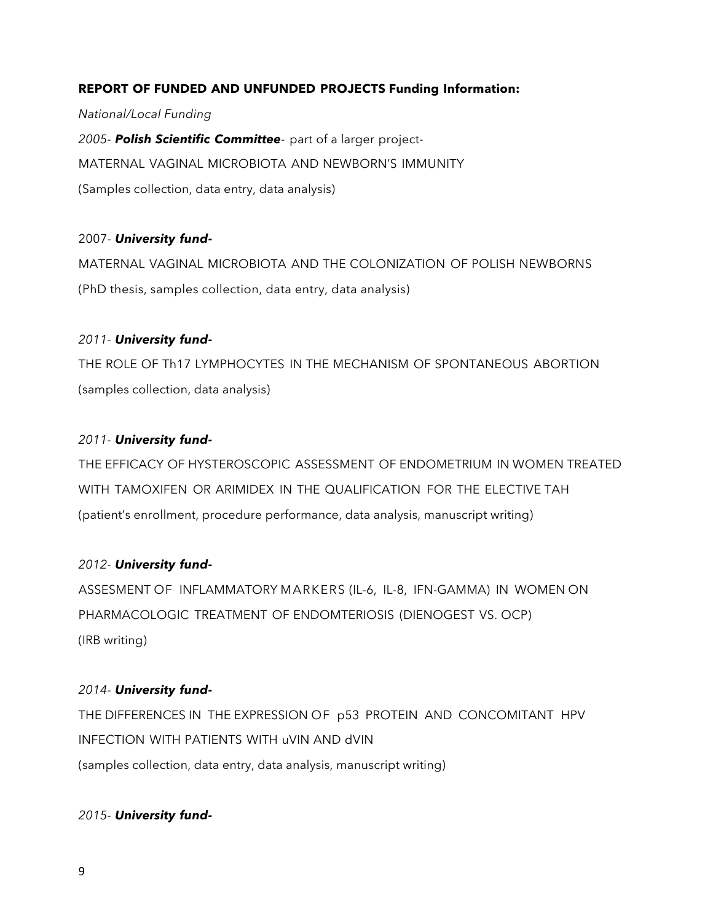#### **REPORT OF FUNDED AND UNFUNDED PROJECTS Funding Information:**

*National/Local Funding 2005- Polish Scientific Committee-* part of a larger project-MATERNAL VAGINAL MICROBIOTA AND NEWBORN'S IMMUNITY (Samples collection, data entry, data analysis)

#### 2007- *University fund-*

MATERNAL VAGINAL MICROBIOTA AND THE COLONIZATION OF POLISH NEWBORNS (PhD thesis, samples collection, data entry, data analysis)

#### *2011- University fund-*

THE ROLE OF Th17 LYMPHOCYTES IN THE MECHANISM OF SPONTANEOUS ABORTION (samples collection, data analysis)

#### *2011- University fund-*

THE EFFICACY OF HYSTEROSCOPIC ASSESSMENT OF ENDOMETRIUM IN WOMEN TREATED WITH TAMOXIFEN OR ARIMIDEX IN THE QUALIFICATION FOR THE ELECTIVE TAH (patient's enrollment, procedure performance, data analysis, manuscript writing)

#### *2012- University fund-*

ASSESMENT OF INFLAMMATORY MARKERS (IL-6, IL-8, IFN-GAMMA) IN WOMEN ON PHARMACOLOGIC TREATMENT OF ENDOMTERIOSIS (DIENOGEST VS. OCP) (IRB writing)

#### *2014- University fund-*

THE DIFFERENCES IN THE EXPRESSION OF p53 PROTEIN AND CONCOMITANT HPV INFECTION WITH PATIENTS WITH uVIN AND dVIN (samples collection, data entry, data analysis, manuscript writing)

#### *2015- University fund-*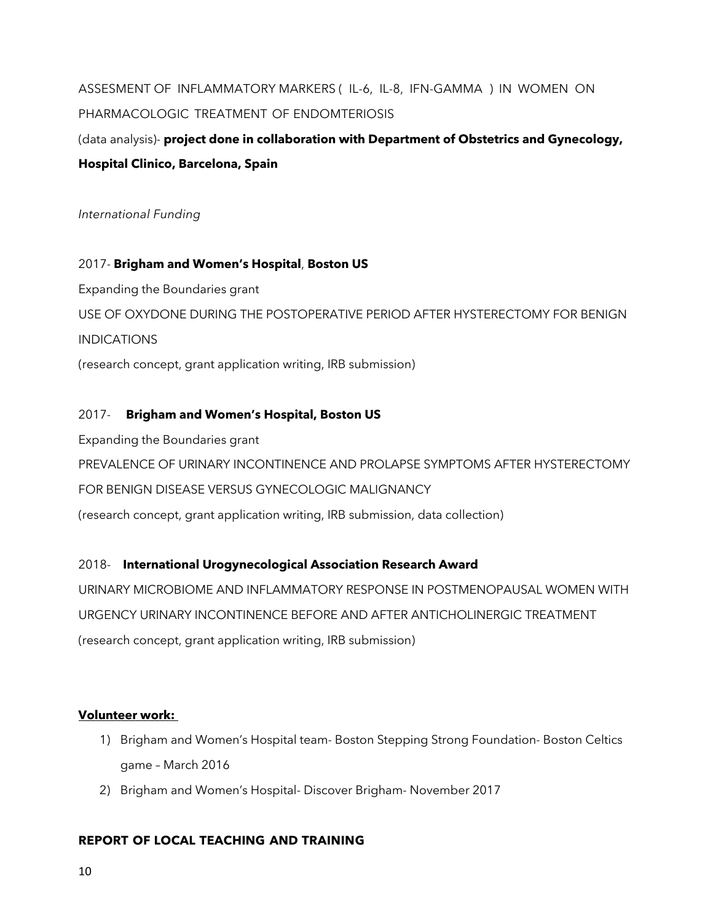ASSESMENT OF INFLAMMATORY MARKERS ( IL-6, IL-8, IFN-GAMMA ) IN WOMEN ON PHARMACOLOGIC TREATMENT OF ENDOMTERIOSIS

(data analysis)- **project done in collaboration with Department of Obstetrics and Gynecology, Hospital Clinico, Barcelona, Spain**

*International Funding*

2017- **Brigham and Women's Hospital**, **Boston US**

Expanding the Boundaries grant

USE OF OXYDONE DURING THE POSTOPERATIVE PERIOD AFTER HYSTERECTOMY FOR BENIGN

**INDICATIONS** 

(research concept, grant application writing, IRB submission)

#### 2017- **Brigham and Women's Hospital, Boston US**

Expanding the Boundaries grant

PREVALENCE OF URINARY INCONTINENCE AND PROLAPSE SYMPTOMS AFTER HYSTERECTOMY

FOR BENIGN DISEASE VERSUS GYNECOLOGIC MALIGNANCY

(research concept, grant application writing, IRB submission, data collection)

2018- **International Urogynecological Association Research Award**

URINARY MICROBIOME AND INFLAMMATORY RESPONSE IN POSTMENOPAUSAL WOMEN WITH URGENCY URINARY INCONTINENCE BEFORE AND AFTER ANTICHOLINERGIC TREATMENT (research concept, grant application writing, IRB submission)

#### **Volunteer work:**

- 1) Brigham and Women's Hospital team- Boston Stepping Strong Foundation- Boston Celtics game – March 2016
- 2) Brigham and Women's Hospital- Discover Brigham- November 2017

#### **REPORT OF LOCAL TEACHING AND TRAINING**